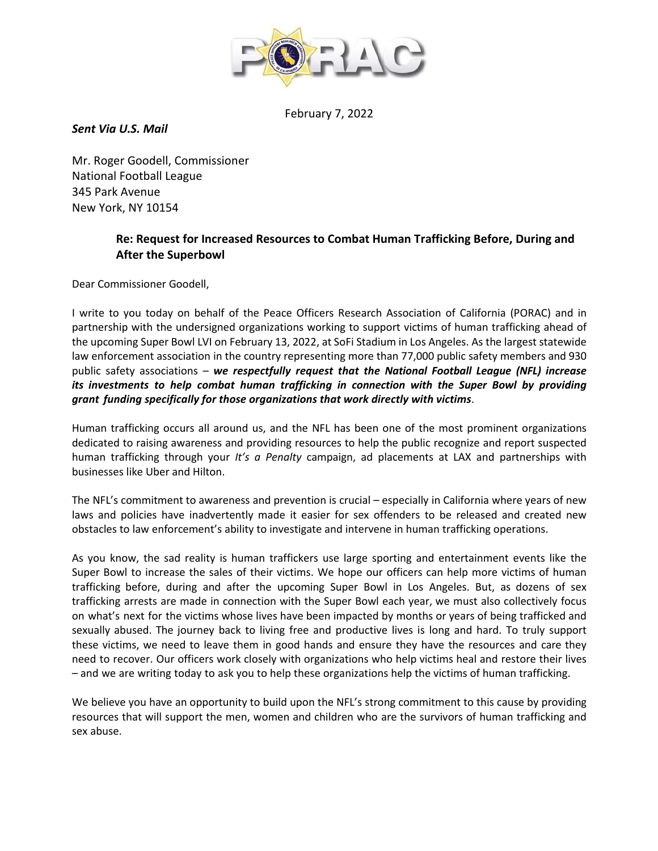

February 7, 2022

*Sent Via U.S. Mail*

Mr. Roger Goodell, Commissioner National Football League 345 Park Avenue New York, NY 10154

## **Re: Request for Increased Resources to Combat Human Trafficking Before, During and After the Superbowl**

Dear Commissioner Goodell,

I write to you today on behalf of the Peace Officers Research Association of California (PORAC) and in partnership with the undersigned organizations working to support victims of human trafficking ahead of the upcoming Super Bowl LVI on February 13, 2022, at SoFi Stadium in Los Angeles. As the largest statewide law enforcement association in the country representing more than 77,000 public safety members and 930 public safety associations – *we respectfully request that the National Football League (NFL) increase its investments to help combat human trafficking in connection with the Super Bowl by providing grant funding specifically for those organizations that work directly with victims*.

Human trafficking occurs all around us, and the NFL has been one of the most prominent organizations dedicated to raising awareness and providing resources to help the public recognize and report suspected human trafficking through your *It's a Penalty* campaign, ad placements at LAX and partnerships with businesses like Uber and Hilton.

The NFL's commitment to awareness and prevention is crucial – especially in California where years of new laws and policies have inadvertently made it easier for sex offenders to be released and created new obstacles to law enforcement's ability to investigate and intervene in human trafficking operations.

As you know, the sad reality is human traffickers use large sporting and entertainment events like the Super Bowl to increase the sales of their victims. We hope our officers can help more victims of human trafficking before, during and after the upcoming Super Bowl in Los Angeles. But, as dozens of sex trafficking arrests are made in connection with the Super Bowl each year, we must also collectively focus on what's next for the victims whose lives have been impacted by months or years of being trafficked and sexually abused. The journey back to living free and productive lives is long and hard. To truly support these victims, we need to leave them in good hands and ensure they have the resources and care they need to recover. Our officers work closely with organizations who help victims heal and restore their lives – and we are writing today to ask you to help these organizations help the victims of human trafficking.

We believe you have an opportunity to build upon the NFL's strong commitment to this cause by providing resources that will support the men, women and children who are the survivors of human trafficking and sex abuse.